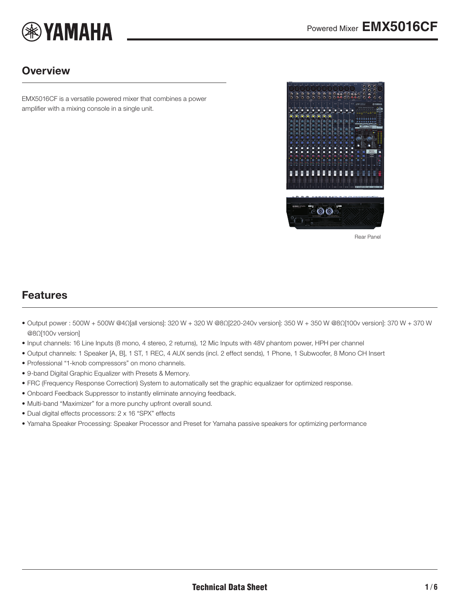

### **Overview**

EMX5016CF is a versatile powered mixer that combines a power amplifier with a mixing console in a single unit.

<span id="page-0-0"></span>

Rear Panel

### Features

- Output power : 500W + 500W @4Ω[all versions]: 320 W + 320 W @8Ω[220-240v version]: 350 W + 350 W @8Ω[100v version]: 370 W + 370 W @8Ω[100v version]
- Input channels: 16 Line Inputs (8 mono, 4 stereo, 2 returns), 12 Mic Inputs with 48V phantom power, HPH per channel
- Output channels: 1 Speaker [A, B], 1 ST, 1 REC, 4 AUX sends (incl. 2 effect sends), 1 Phone, 1 Subwoofer, 8 Mono CH Insert
- Professional "1-knob compressors" on mono channels.
- 9-band Digital Graphic Equalizer with Presets & Memory.
- FRC (Frequency Response Correction) System to automatically set the graphic equalizaer for optimized response.
- Onboard Feedback Suppressor to instantly eliminate annoying feedback.
- Multi-band "Maximizer" for a more punchy upfront overall sound.
- Dual digital effects processors: 2 x 16 "SPX" effects
- Yamaha Speaker Processing: Speaker Processor and Preset for Yamaha passive speakers for optimizing performance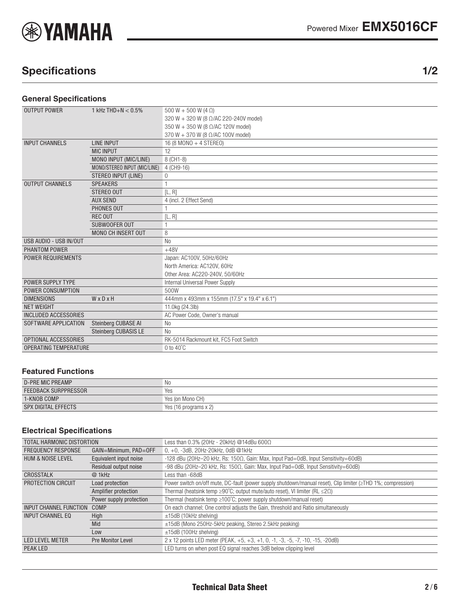

# Specifications 1/2

#### **General Specifications**

| <b>OUTPUT POWER</b>          | 1 kHz THD+N $< 0.5\%$        | 500 W + 500 W (4 $\Omega$ )                  |  |  |  |
|------------------------------|------------------------------|----------------------------------------------|--|--|--|
|                              |                              | 320 W + 320 W (8 Ω/AC 220-240V model)        |  |  |  |
|                              |                              | 350 W + 350 W (8 Ω/AC 120V model)            |  |  |  |
|                              |                              | 370 W + 370 W (8 Ω/AC 100V model)            |  |  |  |
| <b>INPUT CHANNELS</b>        | <b>LINE INPUT</b>            | 16 (8 MONO + 4 STEREO)                       |  |  |  |
|                              | <b>MIC INPUT</b>             | 12                                           |  |  |  |
|                              | MONO INPUT (MIC/LINE)        | 8 (CH1-8)                                    |  |  |  |
|                              | MONO/STEREO INPUT (MIC/LINE) | 4 (CH9-16)                                   |  |  |  |
|                              | <b>STEREO INPUT (LINE)</b>   | 0                                            |  |  |  |
| <b>OUTPUT CHANNELS</b>       | <b>SPEAKERS</b>              |                                              |  |  |  |
|                              | STEREO OUT                   | [L, R]                                       |  |  |  |
|                              | <b>AUX SEND</b>              | 4 (incl. 2 Effect Send)                      |  |  |  |
|                              | PHONES OUT                   |                                              |  |  |  |
|                              | <b>REC OUT</b>               | [L, R]                                       |  |  |  |
|                              | SUBWOOFER OUT                |                                              |  |  |  |
|                              | <b>MONO CH INSERT OUT</b>    | 8                                            |  |  |  |
| USB AUDIO - USB IN/OUT       |                              | N <sub>0</sub>                               |  |  |  |
| PHANTOM POWER                |                              | $+48V$                                       |  |  |  |
| <b>POWER REQUIREMENTS</b>    |                              | Japan: AC100V, 50Hz/60Hz                     |  |  |  |
|                              |                              | North America: AC120V, 60Hz                  |  |  |  |
|                              |                              | Other Area: AC220-240V, 50/60Hz              |  |  |  |
| <b>POWER SUPPLY TYPE</b>     |                              | Internal Universal Power Supply              |  |  |  |
| POWER CONSUMPTION            |                              | 500W                                         |  |  |  |
| <b>DIMENSIONS</b>            | WxDxH                        | 444mm x 493mm x 155mm (17.5" x 19.4" x 6.1") |  |  |  |
| <b>NET WEIGHT</b>            |                              | 11.0kg (24.3lb)                              |  |  |  |
| <b>INCLUDED ACCESSORIES</b>  |                              | AC Power Code, Owner's manual                |  |  |  |
| SOFTWARE APPLICATION         | Steinberg CUBASE AI          | N <sub>o</sub>                               |  |  |  |
|                              | <b>Steinberg CUBASIS LE</b>  | N <sub>0</sub>                               |  |  |  |
| OPTIONAL ACCESSORIES         |                              | RK-5014 Rackmount kit, FC5 Foot Switch       |  |  |  |
| <b>OPERATING TEMPERATURE</b> |                              | $0$ to $40^{\circ}$ C                        |  |  |  |

#### **Featured Functions**

| <b>D-PRE MIC PREAMP</b>     | N0                    |
|-----------------------------|-----------------------|
| <b>FEEDBACK SURPPRESSOR</b> | Yes                   |
| 1-KNOB COMP                 | Yes (on Mono CH)      |
| SPX DIGITAL EFFECTS         | Yes (16 programs x 2) |

### **Electrical Specifications**

| TOTAL HARMONIC DISTORTION     |                          | Less than $0.3\%$ (20Hz - 20kHz) @14dBu 600 $\Omega$                                                         |  |  |  |  |
|-------------------------------|--------------------------|--------------------------------------------------------------------------------------------------------------|--|--|--|--|
| <b>FREQUENCY RESPONSE</b>     | GAIN=Minimum, PAD=OFF    | $0, +0, -3$ dB, 20Hz-20kHz, 0dB @1kHz                                                                        |  |  |  |  |
| <b>HUM &amp; NOISE LEVEL</b>  | Equivalent input noise   | -128 dBu (20Hz-20 kHz, Rs: $150\Omega$ , Gain: Max, Input Pad=0dB, Input Sensitivity=60dB)                   |  |  |  |  |
|                               | Residual output noise    | -98 dBu (20Hz-20 kHz, Rs: 150 $\Omega$ , Gain: Max, Input Pad=0dB, Input Sensitivity=60dB)                   |  |  |  |  |
| CROSSTALK                     | @ 1kHz                   | Less than -68dB                                                                                              |  |  |  |  |
| PROTECTION CIRCUIT            | Load protection          | Power switch on/off mute, DC-fault (power supply shutdown/manual reset), Clip limiter (≥THD 1%; compression) |  |  |  |  |
|                               | Amplifier protection     | Thermal (heatsink temp $\geq$ 90°C; output mute/auto reset), VI limiter (RL $\leq$ 2 $\Omega$ )              |  |  |  |  |
|                               | Power supply protection  | Thermal (heatsink temp $\geq 100^{\circ}$ C; power supply shutdown/manual reset)                             |  |  |  |  |
| <b>INPUT CHANNEL FUNCTION</b> | COMP                     | On each channel; One control adjusts the Gain, threshold and Ratio simultaneously                            |  |  |  |  |
| INPUT CHANNEL EQ              | High                     | $\pm$ 15dB (10kHz shelving)                                                                                  |  |  |  |  |
|                               | Mid                      | ±15dB (Mono 250Hz-5kHz peaking, Stereo 2.5kHz peaking)                                                       |  |  |  |  |
|                               | Low                      | $\pm$ 15dB (100Hz shelving)                                                                                  |  |  |  |  |
| <b>LED LEVEL METER</b>        | <b>Pre Monitor Level</b> | 2 x 12 points LED meter (PEAK, +5, +3, +1, 0, -1, -3, -5, -7, -10, -15, -20dB)                               |  |  |  |  |
| PEAK LED                      |                          | LED turns on when post EQ signal reaches 3dB below clipping level                                            |  |  |  |  |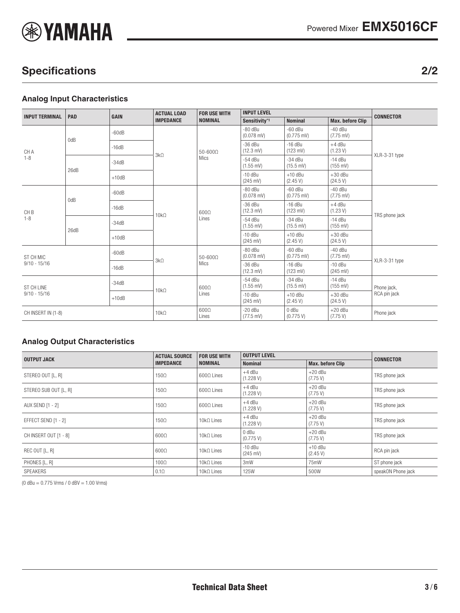

# Specifications 2/2

#### **Analog Input Characteristics**

| <b>INPUT TERMINAL</b>        | PAD  | <b>GAIN</b> | <b>ACTUAL LOAD</b><br><b>IMPEDANCE</b> | <b>FOR USE WITH</b><br><b>NOMINAL</b> | <b>INPUT LEVEL</b>               |                                   |                                  | <b>CONNECTOR</b>            |
|------------------------------|------|-------------|----------------------------------------|---------------------------------------|----------------------------------|-----------------------------------|----------------------------------|-----------------------------|
|                              |      |             |                                        |                                       | Sensitivity*1                    | <b>Nominal</b>                    | <b>Max. before Clip</b>          |                             |
| CH A<br>$1 - 8$              | 0dB  | $-60dB$     | $3k\Omega$                             | $50 - 600\Omega$<br>Mics              | $-80$ dBu<br>$(0.078$ mV)        | $-60$ dBu<br>$(0.775$ mV)         | $-40$ dBu<br>$(7.75 \text{ mV})$ | XLR-3-31 type               |
|                              |      | $-16dB$     |                                        |                                       | $-36$ dBu<br>(12.3 mV)           | $-16$ dBu<br>$(123 \, \text{mV})$ | $+4$ dBu<br>(1.23 V)             |                             |
|                              | 26dB | $-34dB$     |                                        |                                       | $-54$ dBu<br>$(1.55 \text{ mV})$ | $-34$ dBu<br>$(15.5 \text{ mV})$  | $-14$ dBu<br>$(155 \text{ mV})$  |                             |
|                              |      | $+10dB$     |                                        |                                       | $-10$ dBu<br>$(245 \text{ mV})$  | $+10$ dBu<br>(2.45 V)             | $+30$ dBu<br>(24.5 V)            |                             |
| CH <sub>B</sub><br>$1 - 8$   | 0dB  | $-60dB$     | $10k\Omega$                            | 6000<br>Lines                         | $-80$ dBu<br>$(0.078$ mV)        | $-60$ dBu<br>$(0.775 \text{ mV})$ | $-40$ dBu<br>$(7.75 \text{ mV})$ | TRS phone jack              |
|                              |      | $-16dB$     |                                        |                                       | $-36$ dBu<br>$(12.3 \text{ mV})$ | $-16$ dBu<br>$(123 \, \text{mV})$ | $+4$ dBu<br>(1.23 V)             |                             |
|                              | 26dB | $-34dB$     |                                        |                                       | $-54$ dBu<br>$(1.55 \text{ mV})$ | $-34$ dBu<br>$(15.5 \text{ mV})$  | $-14$ dBu<br>$(155 \text{ mV})$  |                             |
|                              |      | $+10dB$     |                                        |                                       | $-10$ dBu<br>$(245 \text{ mV})$  | $+10$ dBu<br>(2.45 V)             | $+30$ dBu<br>(24.5 V)            |                             |
| ST CH MIC                    |      | $-60dB$     | $3k\Omega$                             | $50 - 600\Omega$<br>Mics              | $-80$ dBu<br>$(0.078$ mV)        | $-60$ dBu<br>$(0.775$ mV)         | $-40$ dBu<br>$(7.75 \text{ mV})$ | XLR-3-31 type               |
| $9/10 - 15/16$               |      | $-16dB$     |                                        |                                       | $-36$ dBu<br>$(12.3 \text{ mV})$ | $-16$ dBu<br>$(123 \, \text{mV})$ | $-10$ dBu<br>$(245 \text{ mV})$  |                             |
| ST CH LINE<br>$9/10 - 15/16$ |      | $-34dB$     | $10k\Omega$                            | $600\Omega$<br>Lines                  | $-54$ dBu<br>$(1.55 \text{ mV})$ | $-34$ dBu<br>$(15.5 \text{ mV})$  | $-14$ dBu<br>$(155 \text{ mV})$  | Phone jack,<br>RCA pin jack |
|                              |      | $+10dB$     |                                        |                                       | $-10$ dBu<br>$(245 \text{ mV})$  | $+10$ dBu<br>(2.45 V)             | $+30$ dBu<br>(24.5 V)            |                             |
| CH INSERT IN (1-8)           |      | $10k\Omega$ | $600\Omega$<br>Lines                   | $-20$ dBu<br>$(77.5 \text{ mV})$      | 0 dBu<br>(0.775 V)               | $+20$ dBu<br>(7.75 V)             | Phone jack                       |                             |

#### **Analog Output Characteristics**

|                       | <b>ACTUAL SOURCE</b> | <b>FOR USE WITH</b> | <b>OUTPUT LEVEL</b>             |                         |                    |  |
|-----------------------|----------------------|---------------------|---------------------------------|-------------------------|--------------------|--|
| <b>OUTPUT JACK</b>    | <b>IMPEDANCE</b>     | <b>NOMINAL</b>      | <b>Nominal</b>                  | <b>Max. before Clip</b> | <b>CONNECTOR</b>   |  |
| STEREO OUT [L, R]     | $150\Omega$          | $600\Omega$ Lines   | $+4$ dBu<br>(1.228 V)           | $+20$ dBu<br>(7.75 V)   | TRS phone jack     |  |
| STEREO SUB OUT [L, R] | $150\Omega$          | $600\Omega$ Lines   | $+4$ dBu<br>(1.228 V)           | $+20$ dBu<br>(7.75 V)   | TRS phone jack     |  |
| AUX SEND [1 - 2]      | 150Ω                 | $600\Omega$ Lines   | $+4$ dBu<br>(1.228 V)           | $+20$ dBu<br>(7.75 V)   | TRS phone jack     |  |
| EFFECT SEND [1 - 2]   | $150\Omega$          | $10k\Omega$ Lines   | $+4$ dBu<br>(1.228 V)           | $+20$ dBu<br>(7.75 V)   | TRS phone jack     |  |
| CH INSERT OUT [1 - 8] | $600\Omega$          | $10k\Omega$ Lines   | 0 dBu<br>(0.775 V)              | $+20$ dBu<br>(7.75 V)   | TRS phone jack     |  |
| REC OUT [L, R]        | $600\Omega$          | $10k\Omega$ Lines   | $-10$ dBu<br>$(245 \text{ mV})$ | $+10$ dBu<br>(2.45 V)   | RCA pin jack       |  |
| PHONES [L, R]         | $100\Omega$          | $10k\Omega$ Lines   | 3mW                             | 75mW                    | ST phone jack      |  |
| SPEAKERS              | $0.1\Omega$          | $10k\Omega$ Lines   | <b>125W</b>                     | 500W                    | speakON Phone jack |  |

 $(0$  dBu = 0.775 Vrms / 0 dBV = 1.00 Vrms)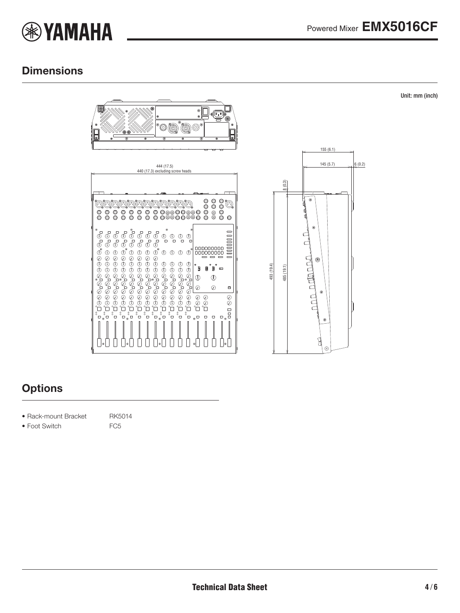

Unit: mm (inch)

## **Dimensions**





## **Options**

- Rack-mount Bracket RK5014
- Foot Switch FC5
- 
- 
-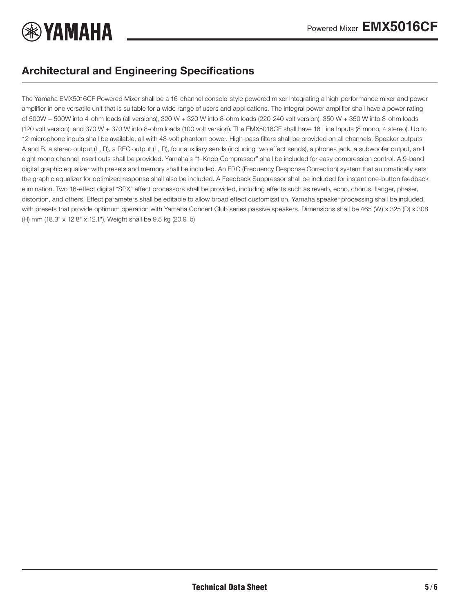

## Architectural and Engineering Specifications

The Yamaha EMX5016CF Powered Mixer shall be a 16-channel console-style powered mixer integrating a high-performance mixer and power amplifier in one versatile unit that is suitable for a wide range of users and applications. The integral power amplifier shall have a power rating of 500W + 500W into 4-ohm loads (all versions), 320 W + 320 W into 8-ohm loads (220-240 volt version), 350 W + 350 W into 8-ohm loads (120 volt version), and 370 W + 370 W into 8-ohm loads (100 volt version). The EMX5016CF shall have 16 Line Inputs (8 mono, 4 stereo). Up to 12 microphone inputs shall be available, all with 48-volt phantom power. High-pass filters shall be provided on all channels. Speaker outputs A and B, a stereo output (L, R), a REC output (L, R), four auxiliary sends (including two effect sends), a phones jack, a subwoofer output, and eight mono channel insert outs shall be provided. Yamaha's "1-Knob Compressor" shall be included for easy compression control. A 9-band digital graphic equalizer with presets and memory shall be included. An FRC (Frequency Response Correction) system that automatically sets the graphic equalizer for optimized response shall also be included. A Feedback Suppressor shall be included for instant one-button feedback elimination. Two 16-effect digital "SPX" effect processors shall be provided, including effects such as reverb, echo, chorus, flanger, phaser, distortion, and others. Effect parameters shall be editable to allow broad effect customization. Yamaha speaker processing shall be included, with presets that provide optimum operation with Yamaha Concert Club series passive speakers. Dimensions shall be 465 (W) x 325 (D) x 308 (H) mm (18.3" x 12.8" x 12.1"). Weight shall be 9.5 kg (20.9 lb)